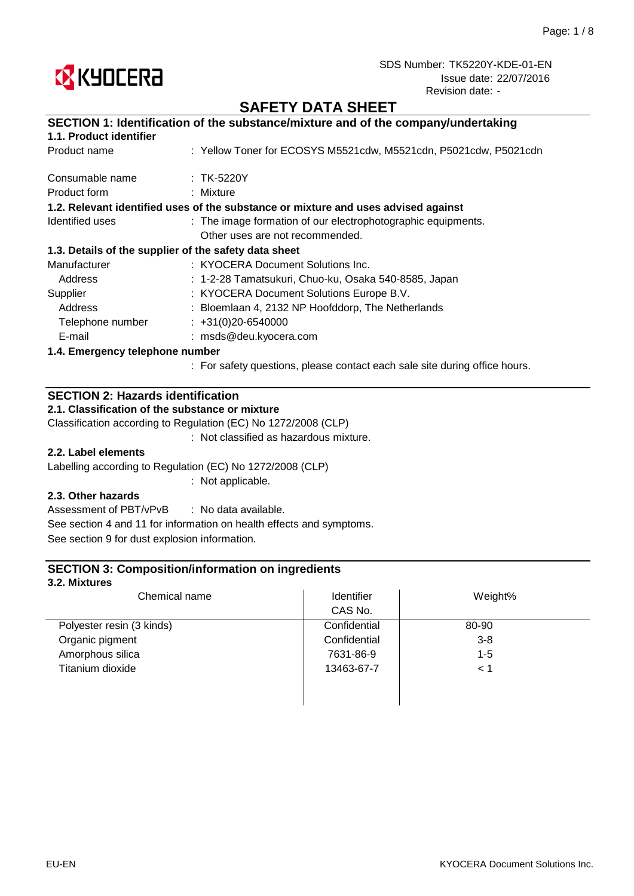

## **SAFETY DATA SHEET**

|                                 | SECTION 1: Identification of the substance/mixture and of the company/undertaking  |
|---------------------------------|------------------------------------------------------------------------------------|
| 1.1. Product identifier         |                                                                                    |
| Product name                    | : Yellow Toner for ECOSYS M5521cdw, M5521cdn, P5021cdw, P5021cdn                   |
| Consumable name                 | $:$ TK-5220Y                                                                       |
| Product form                    | $:$ Mixture                                                                        |
|                                 | 1.2. Relevant identified uses of the substance or mixture and uses advised against |
| Identified uses                 | : The image formation of our electrophotographic equipments.                       |
|                                 | Other uses are not recommended.                                                    |
|                                 | 1.3. Details of the supplier of the safety data sheet                              |
| Manufacturer                    | : KYOCERA Document Solutions Inc.                                                  |
| Address                         | : 1-2-28 Tamatsukuri, Chuo-ku, Osaka 540-8585, Japan                               |
| Supplier                        | : KYOCERA Document Solutions Europe B.V.                                           |
| Address                         | : Bloemlaan 4, 2132 NP Hoofddorp, The Netherlands                                  |
| Telephone number                | $\div$ +31(0)20-6540000                                                            |
| E-mail                          | : msds@deu.kyocera.com                                                             |
| 1.4. Emergency telephone number |                                                                                    |
|                                 | . Ear optaty quastions, places contact soob solo site during office hours          |

: For safety questions, please contact each sale site during office hours.

## **SECTION 2: Hazards identification**

**2.1. Classification of the substance or mixture**

Classification according to Regulation (EC) No 1272/2008 (CLP)

: Not classified as hazardous mixture.

### **2.2. Label elements**

Labelling according to Regulation (EC) No 1272/2008 (CLP)

: Not applicable.

### **2.3. Other hazards**

: No data available. Assessment of PBT/vPvB See section 4 and 11 for information on health effects and symptoms. See section 9 for dust explosion information.

### **SECTION 3: Composition/information on ingredients**

#### **3.2. Mixtures**

| Chemical name             | Identifier   | Weight% |  |
|---------------------------|--------------|---------|--|
|                           | CAS No.      |         |  |
| Polyester resin (3 kinds) | Confidential | 80-90   |  |
| Organic pigment           | Confidential | $3 - 8$ |  |
| Amorphous silica          | 7631-86-9    | $1 - 5$ |  |
| Titanium dioxide          | 13463-67-7   | < 1     |  |
|                           |              |         |  |
|                           |              |         |  |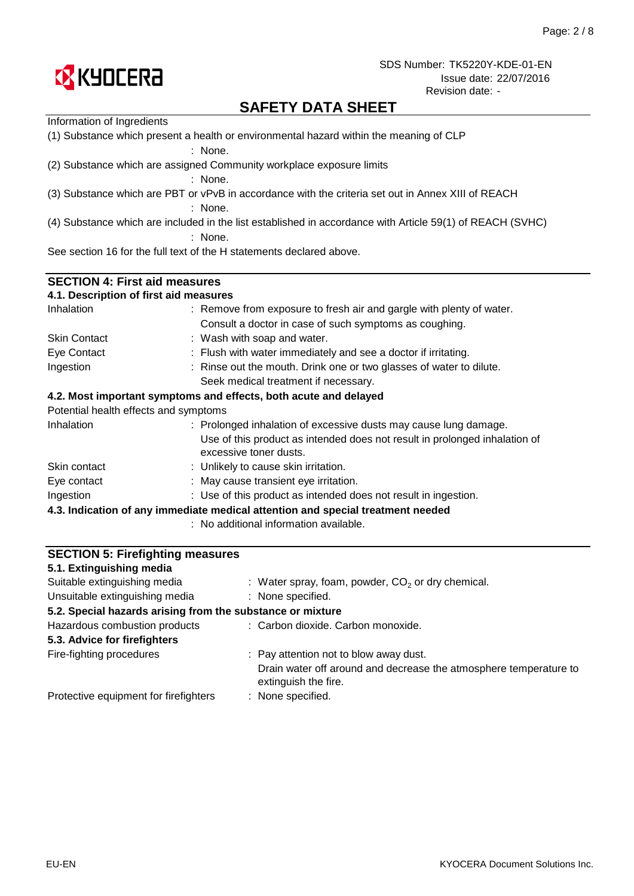

## **SAFETY DATA SHEET**

| Information of Ingredients                                                                        |                                                                                                           |  |  |  |  |
|---------------------------------------------------------------------------------------------------|-----------------------------------------------------------------------------------------------------------|--|--|--|--|
| (1) Substance which present a health or environmental hazard within the meaning of CLP<br>: None. |                                                                                                           |  |  |  |  |
|                                                                                                   | (2) Substance which are assigned Community workplace exposure limits<br>: None.                           |  |  |  |  |
|                                                                                                   | (3) Substance which are PBT or vPvB in accordance with the criteria set out in Annex XIII of REACH        |  |  |  |  |
|                                                                                                   |                                                                                                           |  |  |  |  |
|                                                                                                   | : None.                                                                                                   |  |  |  |  |
|                                                                                                   | (4) Substance which are included in the list established in accordance with Article 59(1) of REACH (SVHC) |  |  |  |  |
|                                                                                                   | : None.                                                                                                   |  |  |  |  |
|                                                                                                   | See section 16 for the full text of the H statements declared above.                                      |  |  |  |  |
|                                                                                                   |                                                                                                           |  |  |  |  |
| <b>SECTION 4: First aid measures</b>                                                              |                                                                                                           |  |  |  |  |
| 4.1. Description of first aid measures                                                            |                                                                                                           |  |  |  |  |
| Inhalation                                                                                        | : Remove from exposure to fresh air and gargle with plenty of water.                                      |  |  |  |  |
|                                                                                                   | Consult a doctor in case of such symptoms as coughing.                                                    |  |  |  |  |
| <b>Skin Contact</b>                                                                               | : Wash with soap and water.                                                                               |  |  |  |  |
| Eye Contact                                                                                       | : Flush with water immediately and see a doctor if irritating.                                            |  |  |  |  |
| Ingestion                                                                                         | : Rinse out the mouth. Drink one or two glasses of water to dilute.                                       |  |  |  |  |
|                                                                                                   | Seek medical treatment if necessary.                                                                      |  |  |  |  |
|                                                                                                   | 4.2. Most important symptoms and effects, both acute and delayed                                          |  |  |  |  |
| Potential health effects and symptoms                                                             |                                                                                                           |  |  |  |  |
| Inhalation                                                                                        | : Prolonged inhalation of excessive dusts may cause lung damage.                                          |  |  |  |  |
|                                                                                                   | Use of this product as intended does not result in prolonged inhalation of<br>excessive toner dusts.      |  |  |  |  |
| Skin contact                                                                                      | : Unlikely to cause skin irritation.                                                                      |  |  |  |  |
| Eye contact                                                                                       | : May cause transient eye irritation.                                                                     |  |  |  |  |
| Ingestion                                                                                         | : Use of this product as intended does not result in ingestion.                                           |  |  |  |  |
|                                                                                                   | 4.3. Indication of any immediate medical attention and special treatment needed                           |  |  |  |  |
|                                                                                                   | : No additional information available.                                                                    |  |  |  |  |
|                                                                                                   |                                                                                                           |  |  |  |  |
| <b>SECTION 5: Firefighting measures</b>                                                           |                                                                                                           |  |  |  |  |
| 5.1. Extinguishing media                                                                          |                                                                                                           |  |  |  |  |

: None specified.

: None specified.

extinguish the fire.

Fire-fighting procedures **Pay attention not to blow away dust.** Pay attention not to blow away dust.

**5.2. Special hazards arising from the substance or mixture**

 $:$  Water spray, foam, powder,  $CO<sub>2</sub>$  or dry chemical.

Drain water off around and decrease the atmosphere temperature to

: Carbon dioxide. Carbon monoxide.

Unsuitable extinguishing media

Hazardous combustion products

**5.3. Advice for firefighters**

Protective equipment for firefighters

Suitable extinguishing media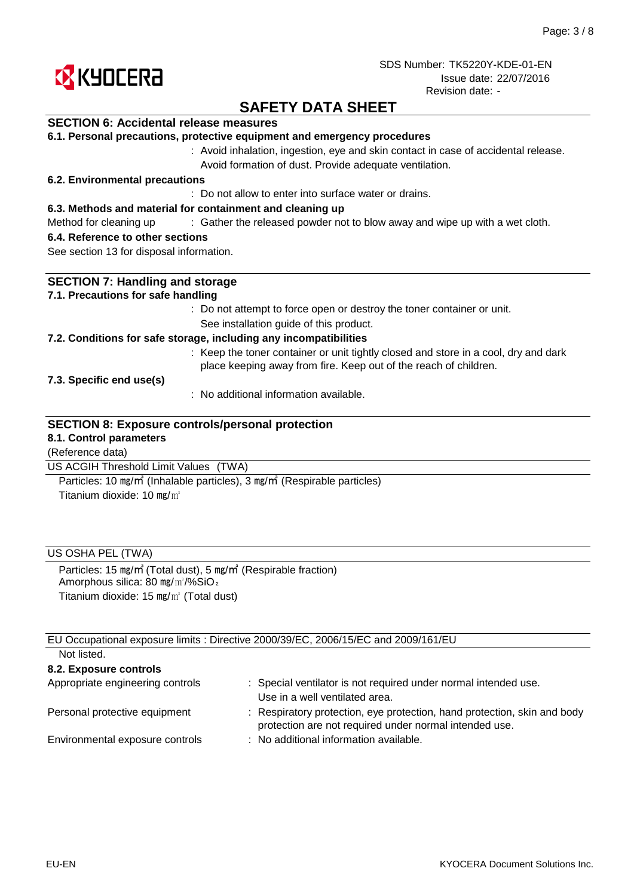

## **SAFETY DATA SHEET**

### **SECTION 6: Accidental release measures**

|  |  |  |  |  |  | 6.1. Personal precautions, protective equipment and emergency procedures |
|--|--|--|--|--|--|--------------------------------------------------------------------------|
|--|--|--|--|--|--|--------------------------------------------------------------------------|

: Avoid inhalation, ingestion, eye and skin contact in case of accidental release. Avoid formation of dust. Provide adequate ventilation.

#### **6.2. Environmental precautions**

: Do not allow to enter into surface water or drains.

#### **6.3. Methods and material for containment and cleaning up**

Method for cleaning up exclosive of the released powder not to blow away and wipe up with a wet cloth.

#### **6.4. Reference to other sections**

See section 13 for disposal information.

| <b>SECTION 7: Handling and storage</b>                                                                                                                  |
|---------------------------------------------------------------------------------------------------------------------------------------------------------|
| 7.1. Precautions for safe handling                                                                                                                      |
| : Do not attempt to force open or destroy the toner container or unit.                                                                                  |
| See installation guide of this product.                                                                                                                 |
| 7.2. Conditions for safe storage, including any incompatibilities                                                                                       |
| : Keep the toner container or unit tightly closed and store in a cool, dry and dark<br>place keeping away from fire. Keep out of the reach of children. |
| 7.3. Specific end use(s)                                                                                                                                |
| $\therefore$ No additional information available.                                                                                                       |
| <b>SECTION 8: Exposure controls/personal protection</b><br>8.1. Control parameters                                                                      |
| (Reference data)                                                                                                                                        |
| US ACGIH Threshold Limit Values<br>(TWA)                                                                                                                |

Titanium dioxide: 10 mg/m<sup>3</sup> Particles: 10 ㎎/㎥ (Inhalable particles), 3 ㎎/㎥ (Respirable particles)

### US OSHA PEL (TWA)

Particles: 15 ㎎/㎥ (Total dust), 5 ㎎/㎥ (Respirable fraction) Amorphous silica: 80 mg/m<sup>3</sup>/%SiO<sub>2</sub> Titanium dioxide: 15 ㎎/㎥ (Total dust)

EU Occupational exposure limits : Directive 2000/39/EC, 2006/15/EC and 2009/161/EU Not listed.

| TVUL IISLUU.                     |                                                                                                                                    |
|----------------------------------|------------------------------------------------------------------------------------------------------------------------------------|
| 8.2. Exposure controls           |                                                                                                                                    |
| Appropriate engineering controls | : Special ventilator is not required under normal intended use.<br>Use in a well ventilated area.                                  |
| Personal protective equipment    | : Respiratory protection, eye protection, hand protection, skin and body<br>protection are not required under normal intended use. |
| Environmental exposure controls  | : No additional information available.                                                                                             |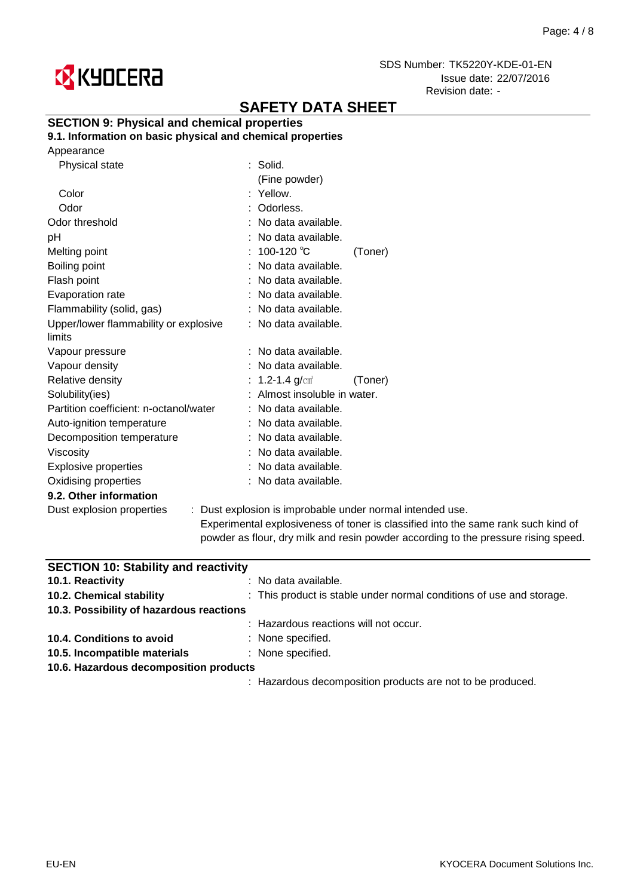

# **SAFETY DATA SHEET**

### **SECTION 9: Physical and chemical properties**

**9.1. Information on basic physical and chemical properties**

| Appearance |
|------------|
|------------|

| Physical state                         | $:$ Solid.                   |                                                           |
|----------------------------------------|------------------------------|-----------------------------------------------------------|
|                                        | (Fine powder)                |                                                           |
| Color                                  | : Yellow.                    |                                                           |
| Odor                                   | : Odorless.                  |                                                           |
| Odor threshold                         | : No data available.         |                                                           |
| рH                                     | : No data available.         |                                                           |
| Melting point                          | : $100-120^{\circ}C$         | (Toner)                                                   |
| Boiling point                          | : No data available.         |                                                           |
| Flash point                            | : No data available.         |                                                           |
| Evaporation rate                       | : No data available.         |                                                           |
| Flammability (solid, gas)              | : No data available.         |                                                           |
| Upper/lower flammability or explosive  | : No data available.         |                                                           |
| limits                                 |                              |                                                           |
| Vapour pressure                        | $:$ No data available.       |                                                           |
| Vapour density                         | : No data available.         |                                                           |
| Relative density                       | : 1.2-1.4 $g/cm^{3}$         | (Toner)                                                   |
| Solubility(ies)                        | : Almost insoluble in water. |                                                           |
| Partition coefficient: n-octanol/water | : No data available.         |                                                           |
| Auto-ignition temperature              | : No data available.         |                                                           |
| Decomposition temperature              | : No data available.         |                                                           |
| <b>Viscosity</b>                       | : No data available.         |                                                           |
| <b>Explosive properties</b>            | : No data available.         |                                                           |
| Oxidising properties                   | : No data available.         |                                                           |
| 9.2. Other information                 |                              |                                                           |
| Dust explosion properties              |                              | : Dust explosion is improbable under normal intended use. |
|                                        |                              |                                                           |

Experimental explosiveness of toner is classified into the same rank such kind of powder as flour, dry milk and resin powder according to the pressure rising speed.

| <b>SECTION 10: Stability and reactivity</b> |                                                                      |
|---------------------------------------------|----------------------------------------------------------------------|
| 10.1. Reactivity                            | $:$ No data available.                                               |
| 10.2. Chemical stability                    | : This product is stable under normal conditions of use and storage. |
| 10.3. Possibility of hazardous reactions    |                                                                      |
|                                             | : Hazardous reactions will not occur.                                |
| 10.4. Conditions to avoid                   | : None specified.                                                    |
| 10.5. Incompatible materials                | : None specified.                                                    |
| 10.6. Hazardous decomposition products      |                                                                      |
|                                             | : Hazardous decomposition products are not to be produced.           |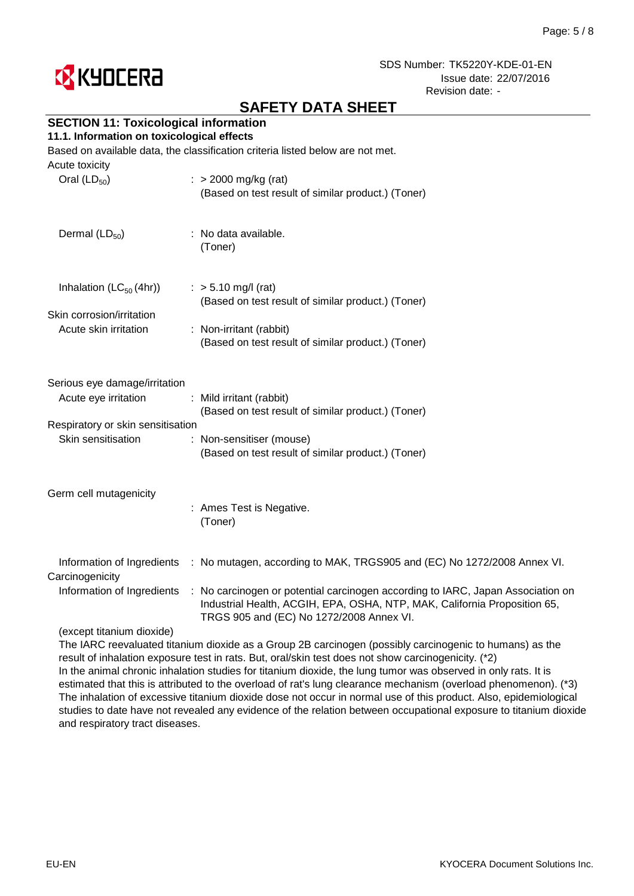

## **SAFETY DATA SHEET**

## **SECTION 11: Toxicological information**

#### **11.1. Information on toxicological effects**

Based on available data, the classification criteria listed below are not met.

| Acute toxicity<br>Oral $(LD_{50})$                                                                               | : $> 2000$ mg/kg (rat)<br>(Based on test result of similar product.) (Toner)                                                                                                                                                                                                        |
|------------------------------------------------------------------------------------------------------------------|-------------------------------------------------------------------------------------------------------------------------------------------------------------------------------------------------------------------------------------------------------------------------------------|
| Dermal $(LD_{50})$                                                                                               | : No data available.<br>(Toner)                                                                                                                                                                                                                                                     |
| Inhalation $(LC_{50}(4hr))$<br>Skin corrosion/irritation<br>Acute skin irritation                                | $:$ > 5.10 mg/l (rat)<br>(Based on test result of similar product.) (Toner)<br>: Non-irritant (rabbit)<br>(Based on test result of similar product.) (Toner)                                                                                                                        |
| Serious eye damage/irritation<br>Acute eye irritation<br>Respiratory or skin sensitisation<br>Skin sensitisation | : Mild irritant (rabbit)<br>(Based on test result of similar product.) (Toner)<br>: Non-sensitiser (mouse)<br>(Based on test result of similar product.) (Toner)                                                                                                                    |
| Germ cell mutagenicity                                                                                           | : Ames Test is Negative.<br>(Toner)                                                                                                                                                                                                                                                 |
| Information of Ingredients<br>Carcinogenicity<br>Information of Ingredients<br>(except titanium dioxide)         | : No mutagen, according to MAK, TRGS905 and (EC) No 1272/2008 Annex VI.<br>: No carcinogen or potential carcinogen according to IARC, Japan Association on<br>Industrial Health, ACGIH, EPA, OSHA, NTP, MAK, California Proposition 65,<br>TRGS 905 and (EC) No 1272/2008 Annex VI. |
|                                                                                                                  |                                                                                                                                                                                                                                                                                     |

The IARC reevaluated titanium dioxide as a Group 2B carcinogen (possibly carcinogenic to humans) as the result of inhalation exposure test in rats. But, oral/skin test does not show carcinogenicity. (\*2) In the animal chronic inhalation studies for titanium dioxide, the lung tumor was observed in only rats. It is estimated that this is attributed to the overload of rat's lung clearance mechanism (overload phenomenon). (\*3) The inhalation of excessive titanium dioxide dose not occur in normal use of this product. Also, epidemiological studies to date have not revealed any evidence of the relation between occupational exposure to titanium dioxide and respiratory tract diseases.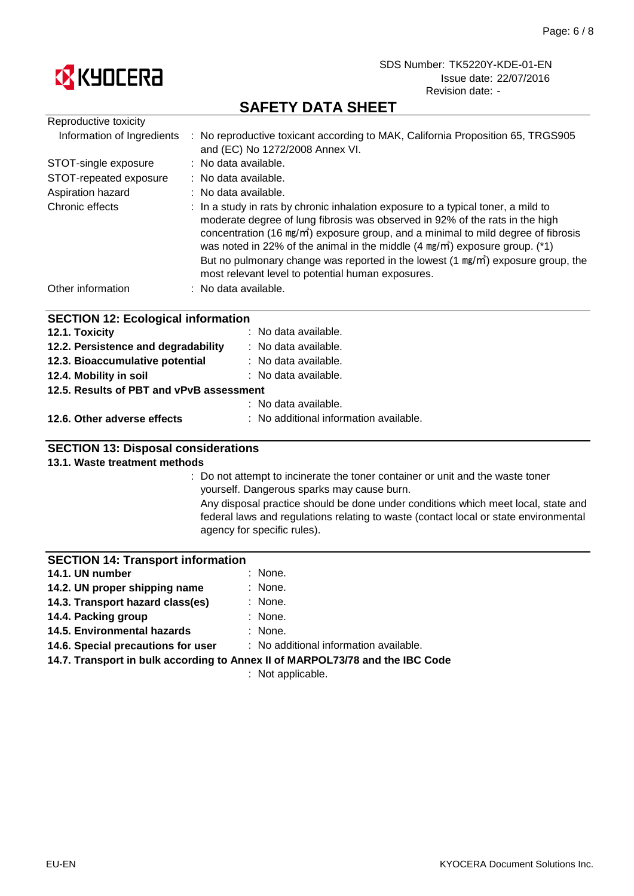

## **SAFETY DATA SHEET**

| Reproductive toxicity                     |                                                                                                                                                                                                                                                                                                                                                                                                                                                                                                                   |
|-------------------------------------------|-------------------------------------------------------------------------------------------------------------------------------------------------------------------------------------------------------------------------------------------------------------------------------------------------------------------------------------------------------------------------------------------------------------------------------------------------------------------------------------------------------------------|
| Information of Ingredients                | : No reproductive toxicant according to MAK, California Proposition 65, TRGS905<br>and (EC) No 1272/2008 Annex VI.                                                                                                                                                                                                                                                                                                                                                                                                |
| STOT-single exposure                      | : No data available.                                                                                                                                                                                                                                                                                                                                                                                                                                                                                              |
| STOT-repeated exposure                    | $\therefore$ No data available.                                                                                                                                                                                                                                                                                                                                                                                                                                                                                   |
| Aspiration hazard                         | : No data available.                                                                                                                                                                                                                                                                                                                                                                                                                                                                                              |
| Chronic effects                           | : In a study in rats by chronic inhalation exposure to a typical toner, a mild to<br>moderate degree of lung fibrosis was observed in 92% of the rats in the high<br>concentration (16 mg/m <sup>3</sup> ) exposure group, and a minimal to mild degree of fibrosis<br>was noted in 22% of the animal in the middle $(4 \text{ mg/m}^3)$ exposure group. (*1)<br>But no pulmonary change was reported in the lowest $(1 \text{ mg/m}^3)$ exposure group, the<br>most relevant level to potential human exposures. |
| Other information                         | : No data available.                                                                                                                                                                                                                                                                                                                                                                                                                                                                                              |
| <b>SECTION 12: Ecological information</b> |                                                                                                                                                                                                                                                                                                                                                                                                                                                                                                                   |
| 12.1. Toxicity                            | : No data available.                                                                                                                                                                                                                                                                                                                                                                                                                                                                                              |
| 12.2. Persistence and degradability       | : No data available.                                                                                                                                                                                                                                                                                                                                                                                                                                                                                              |
| 12.2. Diagonumulative natential           | . No doto ovojloblo                                                                                                                                                                                                                                                                                                                                                                                                                                                                                               |

| 12.3. Bioaccumulative potential          | : No data available. |
|------------------------------------------|----------------------|
| 12.4. Mobility in soil                   | : No data available. |
| 12.5. Results of PBT and vPvB assessment |                      |
|                                          | : No data available. |
|                                          |                      |

### **12.6. Other adverse effects** : No additional information available.

### **SECTION 13: Disposal considerations**

#### **13.1. Waste treatment methods**

: Do not attempt to incinerate the toner container or unit and the waste toner yourself. Dangerous sparks may cause burn.

Any disposal practice should be done under conditions which meet local, state and federal laws and regulations relating to waste (contact local or state environmental agency for specific rules).

#### **SECTION 14: Transport information**

| 14.1. UN number                  | : None. |
|----------------------------------|---------|
| 14.2. UN proper shipping name    | : None. |
| 14.3. Transport hazard class(es) | : None. |
| 14.4. Packing group              | : None. |

- **14.4. Packing group**
- : None. **14.5. Environmental hazards**

: No additional information available. **14.6. Special precautions for user**

**14.7. Transport in bulk according to Annex II of MARPOL73/78 and the IBC Code**

: Not applicable.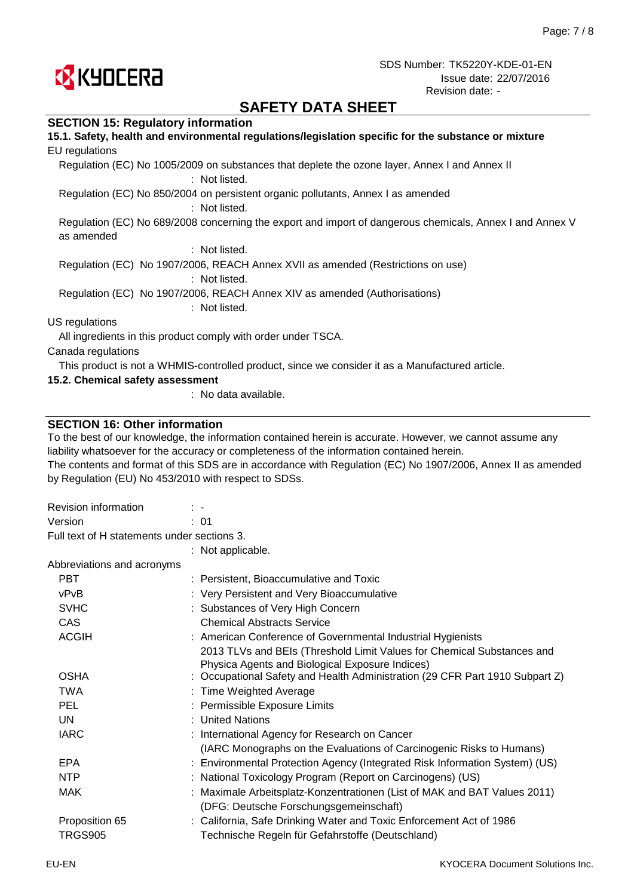

## **SAFETY DATA SHEET**

#### **SECTION 15: Regulatory information**

| 15.1. Safety, health and environmental regulations/legislation specific for the substance or mixture<br>EU regulations |
|------------------------------------------------------------------------------------------------------------------------|
| Regulation (EC) No 1005/2009 on substances that deplete the ozone layer, Annex I and Annex II<br>: Not listed.         |
| Regulation (EC) No 850/2004 on persistent organic pollutants, Annex I as amended<br>: Not listed.                      |
| Regulation (EC) No 689/2008 concerning the export and import of dangerous chemicals, Annex I and Annex V<br>as amended |
| : Not listed.                                                                                                          |
| Regulation (EC) No 1907/2006, REACH Annex XVII as amended (Restrictions on use)<br>: Not listed.                       |
| Regulation (EC) No 1907/2006, REACH Annex XIV as amended (Authorisations)<br>: Not listed.                             |
| US regulations                                                                                                         |
| All ingredients in this product comply with order under TSCA.                                                          |
| Canada regulations                                                                                                     |
| This product is not a WHMIS-controlled product, since we consider it as a Manufactured article.                        |
| 15.2. Chemical safety assessment                                                                                       |

: No data available.

#### **SECTION 16: Other information**

To the best of our knowledge, the information contained herein is accurate. However, we cannot assume any liability whatsoever for the accuracy or completeness of the information contained herein.

The contents and format of this SDS are in accordance with Regulation (EC) No 1907/2006, Annex II as amended by Regulation (EU) No 453/2010 with respect to SDSs.

| Revision information                        | $\mathbb{R}^n$                                                                                                            |  |
|---------------------------------------------|---------------------------------------------------------------------------------------------------------------------------|--|
| Version                                     | : 01                                                                                                                      |  |
| Full text of H statements under sections 3. |                                                                                                                           |  |
|                                             | : Not applicable.                                                                                                         |  |
| Abbreviations and acronyms                  |                                                                                                                           |  |
| <b>PBT</b>                                  | : Persistent, Bioaccumulative and Toxic                                                                                   |  |
| vPvB                                        | : Very Persistent and Very Bioaccumulative                                                                                |  |
| <b>SVHC</b>                                 | : Substances of Very High Concern                                                                                         |  |
| <b>CAS</b>                                  | <b>Chemical Abstracts Service</b>                                                                                         |  |
| <b>ACGIH</b>                                | : American Conference of Governmental Industrial Hygienists                                                               |  |
|                                             | 2013 TLVs and BEIs (Threshold Limit Values for Chemical Substances and<br>Physica Agents and Biological Exposure Indices) |  |
| <b>OSHA</b>                                 | : Occupational Safety and Health Administration (29 CFR Part 1910 Subpart Z)                                              |  |
| <b>TWA</b>                                  | : Time Weighted Average                                                                                                   |  |
| <b>PEL</b>                                  | : Permissible Exposure Limits                                                                                             |  |
| UN                                          | : United Nations                                                                                                          |  |
| <b>IARC</b>                                 | : International Agency for Research on Cancer                                                                             |  |
|                                             | (IARC Monographs on the Evaluations of Carcinogenic Risks to Humans)                                                      |  |
| <b>EPA</b>                                  | : Environmental Protection Agency (Integrated Risk Information System) (US)                                               |  |
| <b>NTP</b>                                  | : National Toxicology Program (Report on Carcinogens) (US)                                                                |  |
| <b>MAK</b>                                  | : Maximale Arbeitsplatz-Konzentrationen (List of MAK and BAT Values 2011)                                                 |  |
|                                             | (DFG: Deutsche Forschungsgemeinschaft)                                                                                    |  |
| Proposition 65                              | : California, Safe Drinking Water and Toxic Enforcement Act of 1986                                                       |  |
| <b>TRGS905</b>                              | Technische Regeln für Gefahrstoffe (Deutschland)                                                                          |  |